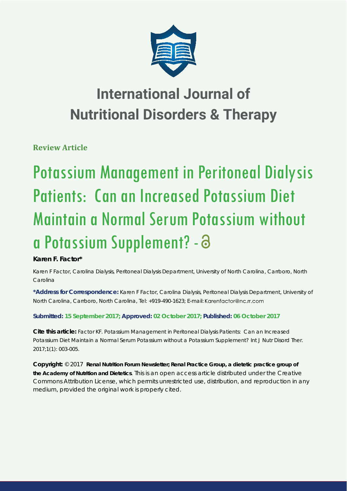

## **International Journal of Nutritional Disorders & Therapy**

**Review Article**

# Potassium Management in Peritoneal Dialysis Patients: Can an Increased Potassium Diet Maintain a Normal Serum Potassium without a Potassium Supplement? -

### **Karen F. Factor\***

*Karen F Factor, Carolina Dialysis, Peritoneal Dialysis Department, University of North Carolina, Carrboro, North Carolina*

**\*Address for Correspondence:** Karen F Factor, Carolina Dialysis, Peritoneal Dialysis Department, University of North Carolina, Carrboro, North Carolina, Tel: +919-490-1623; E-mail:

#### **Submitted: 15 September 2017; Approved: 02 October 2017; Published: 06 October 2017**

**Cite this article:** Factor KF. Potassium Management in Peritoneal Dialysis Patients: Can an Increased Potassium Diet Maintain a Normal Serum Potassium without a Potassium Supplement? Int J Nutr Disord Ther. 2017;1(1): 003-005.

**Copyright:** © 2017 **Renal Nutrition Forum Newsletter; Renal Practice Group, a dietetic practice group of the Academy of Nutrition and Dietetics**. This is an open access article distributed under the Creative Commons Attribution License, which permits unrestricted use, distribution, and reproduction in any medium, provided the original work is properly cited.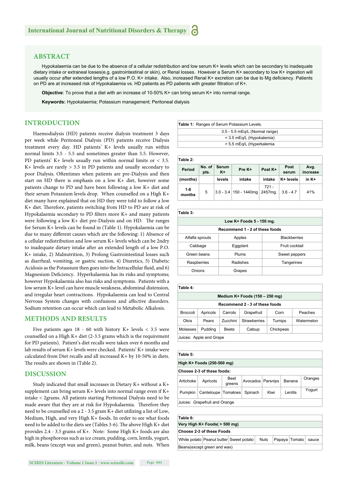#### **ABSTRACT**

Hypokalaemia can be due to the absence of a cellular redistribution and low serum K+ levels which can be secondary to inadequate dietary intake or extraneal losses(e.g. gastrointestinal or skin), or Renal losses. However a Serum K+ secondary to low K+ ingestion will usually occur after extended lengths of a low P.O. K+ intake. Also, increased Renal K+ excretion can be due to Mg deficiency. Patients on PD are at increased risk of Hypokalaemia vs. HD patients as PD patients with greater filtration of K+.

**Objective**: To prove that a diet with an increase of 10-50% K+ can bring serum K+ into normal range.

**Keywords:** Hypokalaemia; Potassium management; Peritoneal dialysis

#### **INTRODUCTION**

Haemodialysis (HD) patients receive dialysis treatment 3 days per week while Peritoneal Dialysis (PD) patients receive Dialysis treatment every day. HD patients' K+ levels usually run within normal limits 3.5 - 5.5 and sometimes greater than 5.5. However, PD patients' K+ levels usually run within normal limits or < 3.5. K+ levels are rarely > 5.5 in PD patients and usually secondary to poor Dialysis. Oftentimes when patients are pre-Dialysis and then start on HD there is emphasis on a low K+ diet, however some patients change to PD and have been following a low K+ diet and their serum Potassium levels drop. When counselled on a High K+ diet many have explained that on HD they were told to follow a low K+ diet. Therefore, patients switching from HD to PD are at risk of Hypokalaemia secondary to PD filters more  $K<sup>+</sup>$  and many patients were following a low  $K+$  diet pre-Dialysis and on HD. The ranges for Serum K+ levels can be found in (Table 1). Hypokalaemia can be due to many different causes which are the following: 1) Absence of a cellular redistribution and low serum K+ levels which can be 2ndry to inadequate dietary intake after an extended length of a low P.O. K+ intake, 2) Malnutrition, 3) Prolong Gastrointestinal losses such as diarrheal, vomiting, or gastric suction, 4) Diuretics, 5) Diabetic Acidosis as the Potassium then goes into the Intracellular fluid, and 6) Magnesium Deficiency. Hyperkalaemia has its risks and symptoms; however Hypokalaemia also has risks and symptoms. Patients with a low serum K+ level can have muscle weakness, abdominal distension, and irregular heart contractions. Hypokalaemia can lead to Central Nervous System changes with confusions and affective disorders. Sodium retention can occur which can lead to Metabolic Alkalosis.

#### **METHODS AND RESULTS**

Five patients ages 18 - 60 with history K+ levels < 3.5 were counselled on a High K+ diet (2-3.5 grams which is the requirement for PD patients). Patient's diet recalls were taken over 6 months and lab results of serum K+ levels were checked. Patients' K+ intake were calculated from Diet recalls and all increased K+ by 10-50% in diets. The results are shown in (Table 2).

#### **DISCUSSION**

Study indicated that small increases in Dietary K+ without a K+ supplement can bring serum K+ levels into normal range even if K+ intake < 2grams. All patients starting Peritoneal Dialysis need to be made aware that they are at risk for Hypokalaemia. Therefore they need to be counselled on a 2 - 3.5 gram K+ diet utilizing a list of Low, Medium, High, and very High K+ foods. In order to see what foods need to be added to the diets see (Tables 3-6). The above High K+ diet provides 2.4 - 3.5 grams of K+. Note: Some High K+ foods are also high in phosphorous such as ice cream, pudding, corn, lentils, yogurt, milk, beans (except wax and green), peanut butter, and nuts. When

**Table 2:**

| Table 2.      |                |             |                          |                    |               |                  |
|---------------|----------------|-------------|--------------------------|--------------------|---------------|------------------|
| Period        | No. of<br>pts. | Serum<br>K+ | Pre K+                   | Post K+            | Post<br>serum | Avg.<br>increase |
| (months)      |                | levels      | intake                   | intake             | K+ levels     | in K+            |
| 1-6<br>months | 5              |             | $3.0 - 3.4$ 150 - 1440mg | $721 -$<br>2457mg. | $3.6 - 4.7$   | 41%              |

| Table 3:                       |          |                     |  |  |  |
|--------------------------------|----------|---------------------|--|--|--|
| Low K+ Foods 5 - 150 mg.       |          |                     |  |  |  |
| Recommend 1 - 2 of these foods |          |                     |  |  |  |
| Alfalfa sprouts                | Apples   | <b>Blackberries</b> |  |  |  |
| Cabbage                        | Eggplant | Fruit cocktail      |  |  |  |
| Green beans                    | Plums    | Sweet peppers       |  |  |  |
| Raspberries                    | Radishes | Tangerines          |  |  |  |
| Onions                         | Grapes   |                     |  |  |  |

| Table 4:                          |          |              |                     |           |            |  |  |
|-----------------------------------|----------|--------------|---------------------|-----------|------------|--|--|
| Medium $K$ + Foods (150 – 250 mg) |          |              |                     |           |            |  |  |
| Recommend 2 - 3 of these foods    |          |              |                     |           |            |  |  |
| <b>Broccoli</b>                   | Apricots | Carrots      | Grapefruit          | Corn      | Peaches    |  |  |
| Okra                              | Pears    | Zucchini     | <b>Strawberries</b> | Turnips   | Watermelon |  |  |
| Molasses                          | Pudding  | <b>Beets</b> | Catsup              | Chickpeas |            |  |  |
| Juices: Apple and Grape           |          |              |                     |           |            |  |  |

| Table 5:                      |                       |                |                   |      |         |         |  |
|-------------------------------|-----------------------|----------------|-------------------|------|---------|---------|--|
| High K+ Foods (250-500 mg)    |                       |                |                   |      |         |         |  |
| Choose 2-3 of these foods:    |                       |                |                   |      |         |         |  |
| Artichoke                     | Apricots              | Beet<br>greens | Avocados Parsnips |      | Banana  | Oranges |  |
| <b>Pumpkin</b>                | Canteloupe   Tomatoes |                | Spinach           | Kiwi | Lentils | Yogurt  |  |
| Juices: Grapefruit and Orange |                       |                |                   |      |         |         |  |

| Table 6:                         |  |                                         |             |  |               |       |  |
|----------------------------------|--|-----------------------------------------|-------------|--|---------------|-------|--|
| Very High K+ Foods( > 500 mg)    |  |                                         |             |  |               |       |  |
| <b>Choose 2-3 of these Foods</b> |  |                                         |             |  |               |       |  |
|                                  |  | White potato Peanut butter Sweet potato | <b>Nuts</b> |  | Papaya Tomato | sauce |  |
| Beans(except green and wax)      |  |                                         |             |  |               |       |  |